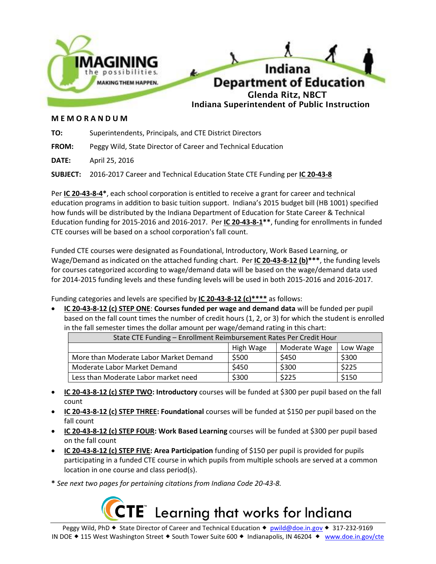

# **M E M O R A N D U M**

**TO:** Superintendents, Principals, and CTE District Directors

**FROM:** Peggy Wild, State Director of Career and Technical Education

**DATE:** April 25, 2016

**SUBJECT:** 2016-2017 Career and Technical Education State CTE Funding per **IC 20-43-8**

Per **IC 20-43-8-4\***, each school corporation is entitled to receive a grant for career and technical education programs in addition to basic tuition support. Indiana's 2015 budget bill (HB 1001) specified how funds will be distributed by the Indiana Department of Education for State Career & Technical Education funding for 2015-2016 and 2016-2017. Per **IC 20-43-8-1\*\***, funding for enrollments in funded CTE courses will be based on a school corporation's fall count.

Funded CTE courses were designated as Foundational, Introductory, Work Based Learning, or Wage/Demand as indicated on the attached funding chart. Per **IC 20-43-8-12 (b)\*\*\***, the funding levels for courses categorized according to wage/demand data will be based on the wage/demand data used for 2014-2015 funding levels and these funding levels will be used in both 2015-2016 and 2016-2017.

Funding categories and levels are specified by **IC 20-43-8-12 (c)\*\*\*\*** as follows:

 **IC 20-43-8-12 (c) STEP ONE**: **Courses funded per wage and demand data** will be funded per pupil based on the fall count times the number of credit hours (1, 2, or 3) for which the student is enrolled in the fall semester times the dollar amount per wage/demand rating in this chart:

| State CTE Funding - Enrollment Reimbursement Rates Per Credit Hour |           |               |          |
|--------------------------------------------------------------------|-----------|---------------|----------|
|                                                                    | High Wage | Moderate Wage | Low Wage |
| More than Moderate Labor Market Demand                             | \$500     | \$450         | \$300    |
| Moderate Labor Market Demand                                       | \$450     | \$300         | \$225    |
| Less than Moderate Labor market need                               | \$300     | \$225         | \$150    |

- **IC 20-43-8-12 (c) STEP TWO: Introductory** courses will be funded at \$300 per pupil based on the fall count
- **IC 20-43-8-12 (c) STEP THREE: Foundational** courses will be funded at \$150 per pupil based on the fall count
- **IC 20-43-8-12 (c) STEP FOUR: Work Based Learning** courses will be funded at \$300 per pupil based on the fall count
- **IC 20-43-8-12 (c) STEP FIVE: Area Participation** funding of \$150 per pupil is provided for pupils participating in a funded CTE course in which pupils from multiple schools are served at a common location in one course and class period(s).
- **\*** *See next two pages for pertaining citations from Indiana Code 20-43-8.*

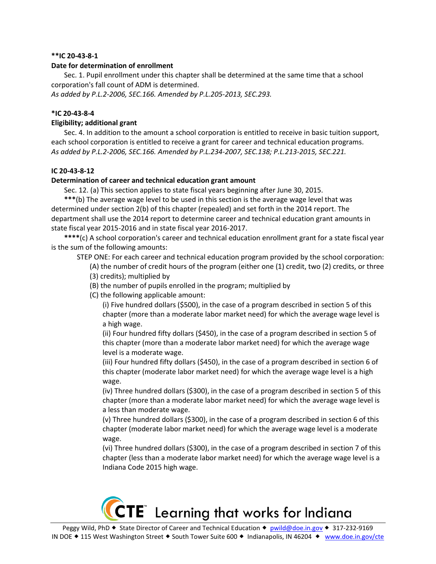### **\*\*IC 20-43-8-1**

### **Date for determination of enrollment**

Sec. 1. Pupil enrollment under this chapter shall be determined at the same time that a school corporation's fall count of ADM is determined.

*As added by P.L.2-2006, SEC.166. Amended by P.L.205-2013, SEC.293.* 

## **\*IC 20-43-8-4**

## **Eligibility; additional grant**

Sec. 4. In addition to the amount a school corporation is entitled to receive in basic tuition support, each school corporation is entitled to receive a grant for career and technical education programs. *As added by P.L.2-2006, SEC.166. Amended by P.L.234-2007, SEC.138; P.L.213-2015, SEC.221.* 

### **IC 20-43-8-12**

### **Determination of career and technical education grant amount**

Sec. 12. (a) This section applies to state fiscal years beginning after June 30, 2015.

**\*\*\***(b) The average wage level to be used in this section is the average wage level that was determined under section 2(b) of this chapter (repealed) and set forth in the 2014 report. The department shall use the 2014 report to determine career and technical education grant amounts in state fiscal year 2015-2016 and in state fiscal year 2016-2017.

**\*\*\*\***(c) A school corporation's career and technical education enrollment grant for a state fiscal year is the sum of the following amounts:

STEP ONE: For each career and technical education program provided by the school corporation:

- (A) the number of credit hours of the program (either one (1) credit, two (2) credits, or three
- (3) credits); multiplied by
- (B) the number of pupils enrolled in the program; multiplied by
- (C) the following applicable amount:

(i) Five hundred dollars (\$500), in the case of a program described in section 5 of this chapter (more than a moderate labor market need) for which the average wage level is a high wage.

(ii) Four hundred fifty dollars (\$450), in the case of a program described in section 5 of this chapter (more than a moderate labor market need) for which the average wage level is a moderate wage.

(iii) Four hundred fifty dollars (\$450), in the case of a program described in section 6 of this chapter (moderate labor market need) for which the average wage level is a high wage.

(iv) Three hundred dollars (\$300), in the case of a program described in section 5 of this chapter (more than a moderate labor market need) for which the average wage level is a less than moderate wage.

(v) Three hundred dollars (\$300), in the case of a program described in section 6 of this chapter (moderate labor market need) for which the average wage level is a moderate wage.

(vi) Three hundred dollars (\$300), in the case of a program described in section 7 of this chapter (less than a moderate labor market need) for which the average wage level is a Indiana Code 2015 high wage.